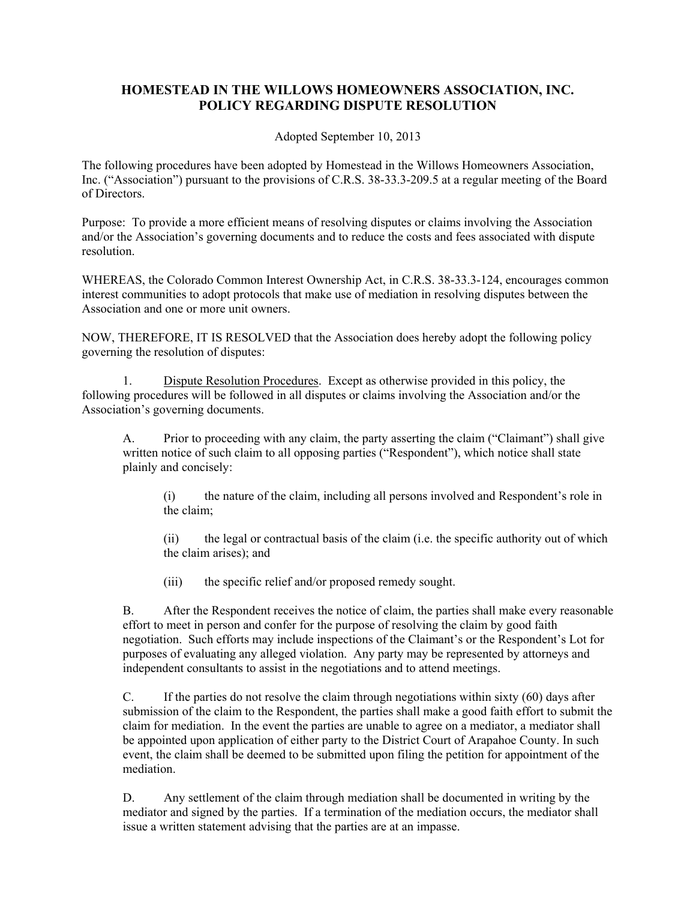## **HOMESTEAD IN THE WILLOWS HOMEOWNERS ASSOCIATION, INC. POLICY REGARDING DISPUTE RESOLUTION**

Adopted September 10, 2013

The following procedures have been adopted by Homestead in the Willows Homeowners Association, Inc. ("Association") pursuant to the provisions of C.R.S. 38-33.3-209.5 at a regular meeting of the Board of Directors.

Purpose: To provide a more efficient means of resolving disputes or claims involving the Association and/or the Association's governing documents and to reduce the costs and fees associated with dispute resolution.

WHEREAS, the Colorado Common Interest Ownership Act, in C.R.S. 38-33.3-124, encourages common interest communities to adopt protocols that make use of mediation in resolving disputes between the Association and one or more unit owners.

NOW, THEREFORE, IT IS RESOLVED that the Association does hereby adopt the following policy governing the resolution of disputes:

 1. Dispute Resolution Procedures. Except as otherwise provided in this policy, the following procedures will be followed in all disputes or claims involving the Association and/or the Association's governing documents.

A. Prior to proceeding with any claim, the party asserting the claim ("Claimant") shall give written notice of such claim to all opposing parties ("Respondent"), which notice shall state plainly and concisely:

(i) the nature of the claim, including all persons involved and Respondent's role in the claim;

(ii) the legal or contractual basis of the claim (i.e. the specific authority out of which the claim arises); and

(iii) the specific relief and/or proposed remedy sought.

B. After the Respondent receives the notice of claim, the parties shall make every reasonable effort to meet in person and confer for the purpose of resolving the claim by good faith negotiation. Such efforts may include inspections of the Claimant's or the Respondent's Lot for purposes of evaluating any alleged violation. Any party may be represented by attorneys and independent consultants to assist in the negotiations and to attend meetings.

C. If the parties do not resolve the claim through negotiations within sixty (60) days after submission of the claim to the Respondent, the parties shall make a good faith effort to submit the claim for mediation. In the event the parties are unable to agree on a mediator, a mediator shall be appointed upon application of either party to the District Court of Arapahoe County. In such event, the claim shall be deemed to be submitted upon filing the petition for appointment of the mediation.

D. Any settlement of the claim through mediation shall be documented in writing by the mediator and signed by the parties. If a termination of the mediation occurs, the mediator shall issue a written statement advising that the parties are at an impasse.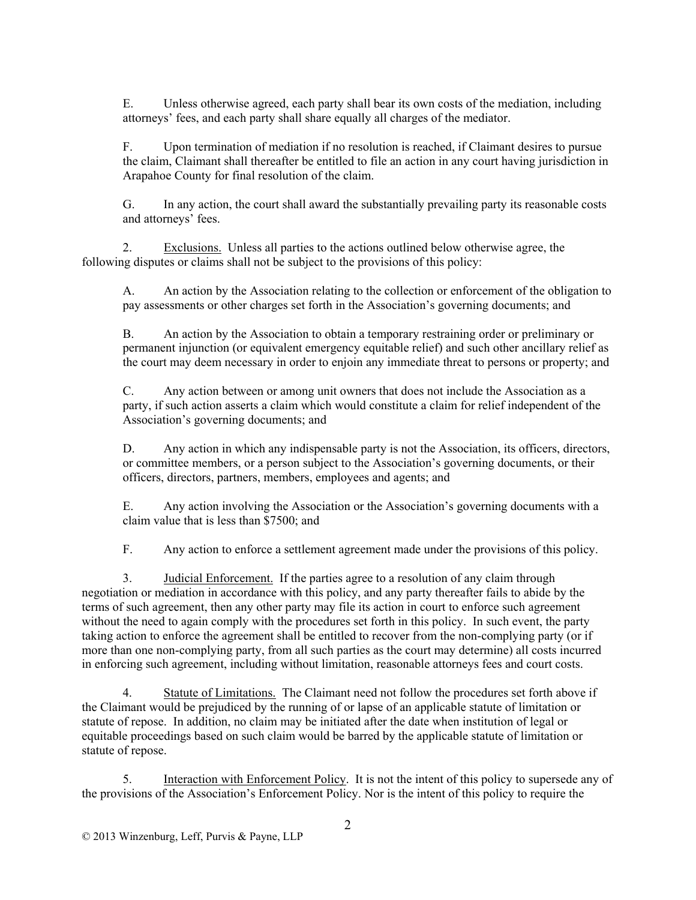E. Unless otherwise agreed, each party shall bear its own costs of the mediation, including attorneys' fees, and each party shall share equally all charges of the mediator.

F. Upon termination of mediation if no resolution is reached, if Claimant desires to pursue the claim, Claimant shall thereafter be entitled to file an action in any court having jurisdiction in Arapahoe County for final resolution of the claim.

G. In any action, the court shall award the substantially prevailing party its reasonable costs and attorneys' fees.

 2. Exclusions. Unless all parties to the actions outlined below otherwise agree, the following disputes or claims shall not be subject to the provisions of this policy:

A. An action by the Association relating to the collection or enforcement of the obligation to pay assessments or other charges set forth in the Association's governing documents; and

B. An action by the Association to obtain a temporary restraining order or preliminary or permanent injunction (or equivalent emergency equitable relief) and such other ancillary relief as the court may deem necessary in order to enjoin any immediate threat to persons or property; and

C. Any action between or among unit owners that does not include the Association as a party, if such action asserts a claim which would constitute a claim for relief independent of the Association's governing documents; and

D. Any action in which any indispensable party is not the Association, its officers, directors, or committee members, or a person subject to the Association's governing documents, or their officers, directors, partners, members, employees and agents; and

E. Any action involving the Association or the Association's governing documents with a claim value that is less than \$7500; and

F. Any action to enforce a settlement agreement made under the provisions of this policy.

 3. Judicial Enforcement. If the parties agree to a resolution of any claim through negotiation or mediation in accordance with this policy, and any party thereafter fails to abide by the terms of such agreement, then any other party may file its action in court to enforce such agreement without the need to again comply with the procedures set forth in this policy. In such event, the party taking action to enforce the agreement shall be entitled to recover from the non-complying party (or if more than one non-complying party, from all such parties as the court may determine) all costs incurred in enforcing such agreement, including without limitation, reasonable attorneys fees and court costs.

4. Statute of Limitations. The Claimant need not follow the procedures set forth above if the Claimant would be prejudiced by the running of or lapse of an applicable statute of limitation or statute of repose. In addition, no claim may be initiated after the date when institution of legal or equitable proceedings based on such claim would be barred by the applicable statute of limitation or statute of repose.

 5. Interaction with Enforcement Policy. It is not the intent of this policy to supersede any of the provisions of the Association's Enforcement Policy. Nor is the intent of this policy to require the